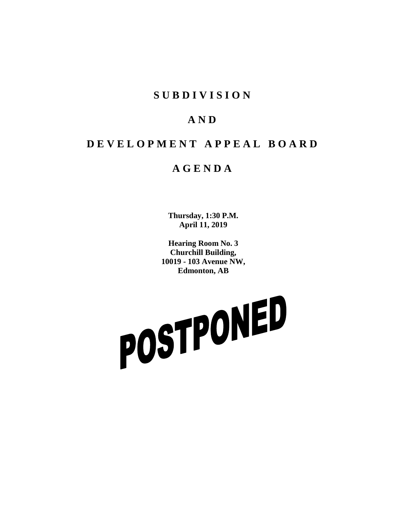### **SUBDIVISION**

## **AND**

# **DEVELOPMENT APPEAL BOARD**

### **AGENDA**

**Thursday, 1:30 P.M. April 11, 2019**

**Hearing Room No. 3 Churchill Building, 10019 - 103 Avenue NW, Edmonton, AB**

POSTPONED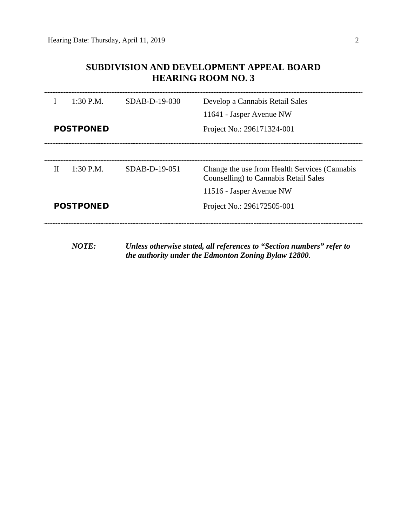#### **SUBDIVISION AND DEVELOPMENT APPEAL BOARD HEARING ROOM NO. 3**

|                  | $1:30$ P.M.<br><b>POSTPONED</b> | $SDAB-D-19-030$ | Develop a Cannabis Retail Sales<br>11641 - Jasper Avenue NW<br>Project No.: 296171324-001 |
|------------------|---------------------------------|-----------------|-------------------------------------------------------------------------------------------|
| Н                | $1:30$ P.M.                     | $SDAB-D-19-051$ | Change the use from Health Services (Cannabis<br>Counselling) to Cannabis Retail Sales    |
| <b>POSTPONED</b> |                                 |                 | 11516 - Jasper Avenue NW<br>Project No.: 296172505-001                                    |

*NOTE: Unless otherwise stated, all references to "Section numbers" refer to the authority under the Edmonton Zoning Bylaw 12800.*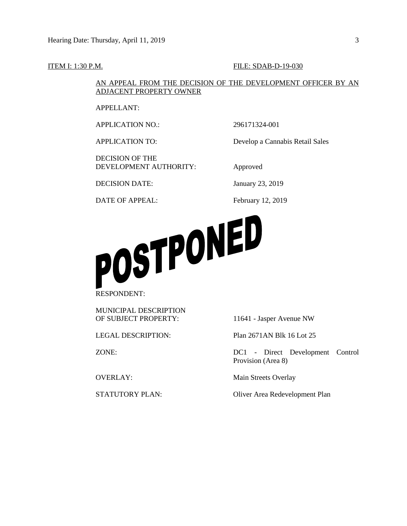#### **ITEM I: 1:30 P.M. FILE: SDAB-D-19-030**

AN APPEAL FROM THE DECISION OF THE DEVELOPMENT OFFICER BY AN ADJACENT PROPERTY OWNER

APPELLANT:

APPLICATION NO.: 296171324-001

DECISION OF THE DEVELOPMENT AUTHORITY: Approved

APPLICATION TO: Develop a Cannabis Retail Sales

DECISION DATE: January 23, 2019

DATE OF APPEAL: February 12, 2019



MUNICIPAL DESCRIPTION OF SUBJECT PROPERTY: 11641 - Jasper Avenue NW

LEGAL DESCRIPTION: Plan 2671AN Blk 16 Lot 25

ZONE: DC1 - Direct Development Control Provision (Area 8)

OVERLAY: Main Streets Overlay

STATUTORY PLAN: Oliver Area Redevelopment Plan